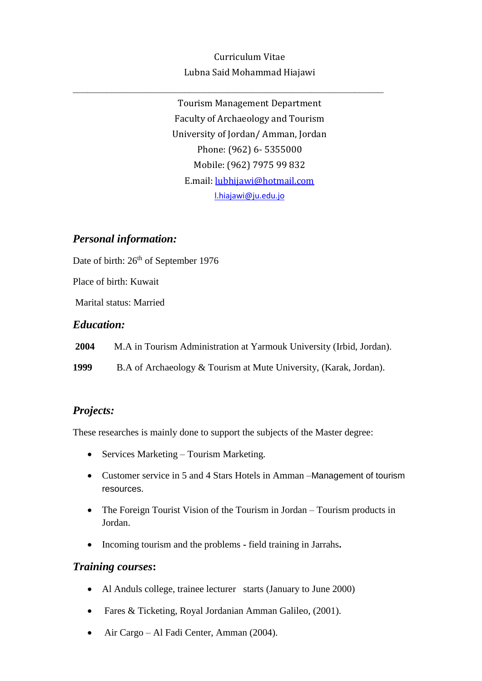# Curriculum Vitae Lubna Said Mohammad Hiajawi

Tourism Management Department Faculty of Archaeology and Tourism University of Jordan/ Amman, Jordan Phone: (962) 6- 5355000 Mobile: (962) 7975 99 832 E.mail: [lubhijawi@hotmail.com](mailto:lubhijawi@hotmail.com) [l.hiajawi@ju.edu.jo](mailto:l.hiajawi@ju.edu.jo)

# *Personal information:*

Date of birth:  $26<sup>th</sup>$  of September 1976

Place of birth: Kuwait

Marital status: Married

#### *Education:*

**2004** M.A in Tourism Administration at Yarmouk University (Irbid, Jordan).

**1999** B.A of Archaeology & Tourism at Mute University, (Karak, Jordan).

### *Projects:*

These researches is mainly done to support the subjects of the Master degree:

- Services Marketing Tourism Marketing.
- Customer service in 5 and 4 Stars Hotels in Amman –Management of tourism resources.
- The Foreign Tourist Vision of the Tourism in Jordan Tourism products in Jordan.
- Incoming tourism and the problems **-** field training in Jarrahs**.**

### *Training courses***:**

- Al Anduls college, trainee lecturer starts (January to June 2000)
- Fares & Ticketing, Royal Jordanian Amman Galileo, (2001).
- Air Cargo Al Fadi Center, Amman (2004).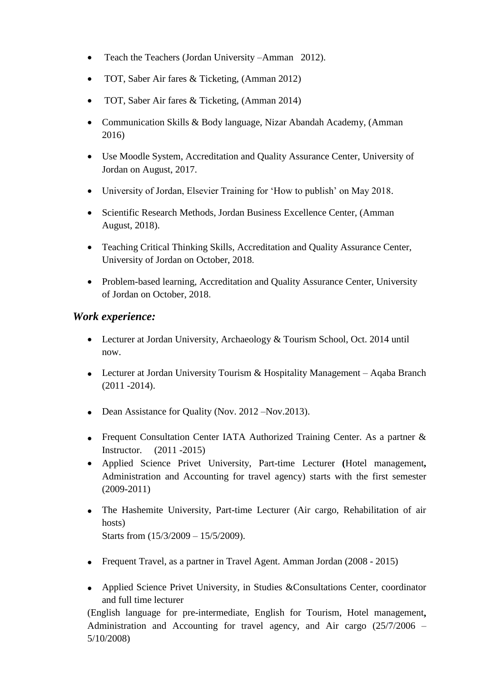- Teach the Teachers (Jordan University –Amman 2012).
- TOT, Saber Air fares & Ticketing, (Amman 2012)
- TOT, Saber Air fares & Ticketing, (Amman 2014)
- Communication Skills & Body language, Nizar Abandah Academy, (Amman 2016)
- Use Moodle System, Accreditation and Quality Assurance Center, University of Jordan on August, 2017.
- University of Jordan, Elsevier Training for 'How to publish' on May 2018.
- Scientific Research Methods, Jordan Business Excellence Center, (Amman August, 2018).
- Teaching Critical Thinking Skills, Accreditation and Quality Assurance Center, University of Jordan on October, 2018.
- Problem-based learning, Accreditation and Quality Assurance Center, University of Jordan on October, 2018.

# *Work experience:*

- Lecturer at Jordan University, Archaeology & Tourism School, Oct. 2014 until now.
- Lecturer at Jordan University Tourism & Hospitality Management Aqaba Branch  $(2011 - 2014)$ .
- Dean Assistance for Quality (Nov. 2012 Nov. 2013).
- Frequent Consultation Center IATA Authorized Training Center. As a partner & Instructor. (2011 -2015)
- Applied Science Privet University, Part-time Lecturer **(**Hotel management**,** Administration and Accounting for travel agency) starts with the first semester (2009-2011)
- The Hashemite University, Part-time Lecturer (Air cargo, Rehabilitation of air hosts) Starts from (15/3/2009 – 15/5/2009).
- Frequent Travel, as a partner in Travel Agent. Amman Jordan (2008 2015)
- Applied Science Privet University, in Studies &Consultations Center, coordinator and full time lecturer

(English language for pre-intermediate, English for Tourism, Hotel management**,**  Administration and Accounting for travel agency, and Air cargo (25/7/2006 – 5/10/2008)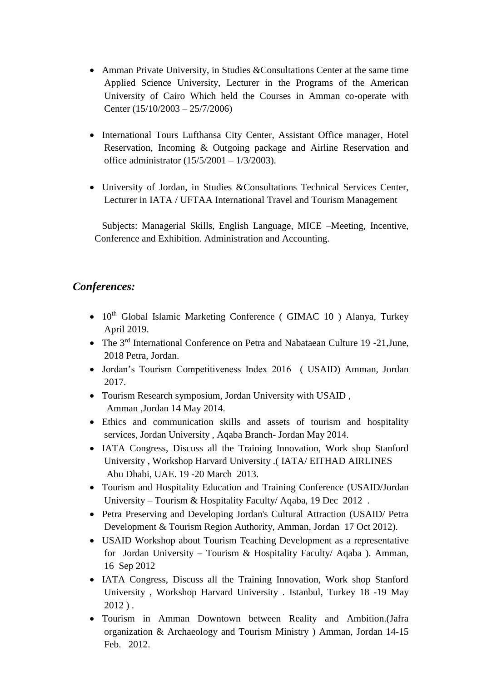- Amman Private University, in Studies & Consultations Center at the same time Applied Science University, Lecturer in the Programs of the American University of Cairo Which held the Courses in Amman co-operate with Center (15/10/2003 – 25/7/2006)
- International Tours Lufthansa City Center, Assistant Office manager*,* Hotel Reservation, Incoming & Outgoing package and Airline Reservation and office administrator (15/5/2001 – 1/3/2003).
- University of Jordan, in Studies &Consultations Technical Services Center, Lecturer in IATA / UFTAA International Travel and Tourism Management

 Subjects: Managerial Skills, English Language, MICE –Meeting, Incentive, Conference and Exhibition. Administration and Accounting.

# *Conferences:*

- $\bullet$  10<sup>th</sup> Global Islamic Marketing Conference (GIMAC 10) Alanya, Turkey April 2019.
- The 3<sup>rd</sup> International Conference on Petra and Nabataean Culture 19 -21, June, 2018 Petra, Jordan.
- Jordan's Tourism Competitiveness Index 2016 ( USAID) Amman, Jordan 2017.
- Tourism Research symposium, Jordan University with USAID , Amman ,Jordan 14 May 2014.
- Ethics and communication skills and assets of tourism and hospitality services, Jordan University , Aqaba Branch- Jordan May 2014.
- IATA Congress, Discuss all the Training Innovation, Work shop Stanford University , Workshop Harvard University .( IATA/ EITHAD AIRLINES Abu Dhabi, UAE. 19 -20 March 2013.
- Tourism and Hospitality Education and Training Conference (USAID/Jordan University – Tourism & Hospitality Faculty/ Aqaba, 19 Dec 2012 .
- Petra Preserving and Developing Jordan's Cultural Attraction (USAID/ Petra Development & Tourism Region Authority, Amman, Jordan 17 Oct 2012).
- USAID Workshop about Tourism Teaching Development as a representative for Jordan University – Tourism & Hospitality Faculty/ Aqaba ). Amman, 16 Sep 2012
- IATA Congress, Discuss all the Training Innovation, Work shop Stanford University , Workshop Harvard University . Istanbul, Turkey 18 -19 May 2012 ) .
- Tourism in Amman Downtown between Reality and Ambition.(Jafra organization & Archaeology and Tourism Ministry ) Amman, Jordan 14-15 Feb. 2012.